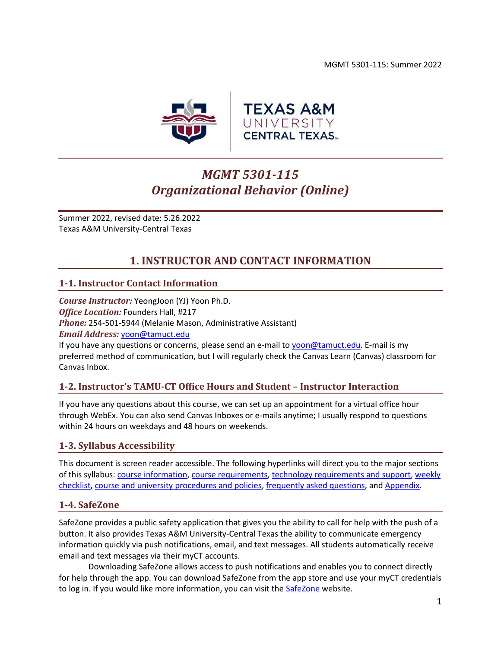MGMT 5301-115: Summer 2022



# *MGMT 5301-115 Organizational Behavior (Online)*

Summer 2022, revised date: 5.26.2022 Texas A&M University-Central Texas

# **1. INSTRUCTOR AND CONTACT INFORMATION**

## <span id="page-0-0"></span>**1-1. Instructor Contact Information**

*Course Instructor:* YeongJoon (YJ) Yoon Ph.D. *Office Location:* Founders Hall, #217 *Phone:* 254-501-5944 (Melanie Mason, Administrative Assistant) *Email Address:* [yoon@tamuct.edu](mailto:yoon@tamuct.edu)

If you have any questions or concerns, please send an e-mail to [yoon@tamuct.edu.](mailto:yoon@tamuct.edu) E-mail is my preferred method of communication, but I will regularly check the Canvas Learn (Canvas) classroom for Canvas Inbox.

## **1-2. Instructor's TAMU-CT Office Hours and Student – Instructor Interaction**

If you have any questions about this course, we can set up an appointment for a virtual office hour through WebEx. You can also send Canvas Inboxes or e-mails anytime; I usually respond to questions within 24 hours on weekdays and 48 hours on weekends.

## **1-3. Syllabus Accessibility**

This document is screen reader accessible. The following hyperlinks will direct you to the major sections of this syllabus: course [information,](#page-1-0) [course requirements,](#page-2-0) [technology requirements and support,](#page-6-0) [weekly](#page-8-0)  [checklist,](#page-8-0) [course and university procedures and policies,](#page-17-0) [frequently asked questions,](#page-19-0) an[d Appendix.](#page-22-0)

### **1-4. SafeZone**

SafeZone provides a public safety application that gives you the ability to call for help with the push of a button. It also provides Texas A&M University-Central Texas the ability to communicate emergency information quickly via push notifications, email, and text messages. All students automatically receive email and text messages via their myCT accounts.

Downloading SafeZone allows access to push notifications and enables you to connect directly for help through the app. You can download SafeZone from the app store and use your myCT credentials to log in. If you would like more information, you can visit the **SafeZone** website.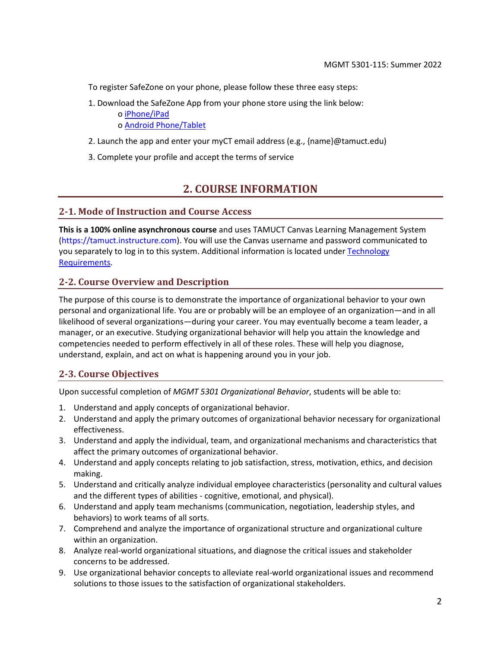To register SafeZone on your phone, please follow these three easy steps:

1. Download the SafeZone App from your phone store using the link below:

o [iPhone/iPad](https://apps.apple.com/app/safezone/id533054756)

o [Android Phone/Tablet](https://play.google.com/store/apps/details?id=com.criticalarc.safezoneapp)

- 2. Launch the app and enter your myCT email address (e.g., {name}@tamuct.edu)
- <span id="page-1-0"></span>3. Complete your profile and accept the terms of service

## **2. COURSE INFORMATION**

### **2-1. Mode of Instruction and Course Access**

**This is a 100% online asynchronous course** and uses TAMUCT Canvas Learning Management System (https://tamuct.instructure.com). You will use the Canvas username and password communicated to you separately to log in to this system. Additional information is located unde[r Technology](#page-6-1)  [Requirements.](#page-6-1)

## **2-2. Course Overview and Description**

The purpose of this course is to demonstrate the importance of organizational behavior to your own personal and organizational life. You are or probably will be an employee of an organization—and in all likelihood of several organizations—during your career. You may eventually become a team leader, a manager, or an executive. Studying organizational behavior will help you attain the knowledge and competencies needed to perform effectively in all of these roles. These will help you diagnose, understand, explain, and act on what is happening around you in your job.

## **2-3. Course Objectives**

Upon successful completion of *MGMT 5301 Organizational Behavior*, students will be able to:

- 1. Understand and apply concepts of organizational behavior.
- 2. Understand and apply the primary outcomes of organizational behavior necessary for organizational effectiveness.
- 3. Understand and apply the individual, team, and organizational mechanisms and characteristics that affect the primary outcomes of organizational behavior.
- 4. Understand and apply concepts relating to job satisfaction, stress, motivation, ethics, and decision making.
- 5. Understand and critically analyze individual employee characteristics (personality and cultural values and the different types of abilities - cognitive, emotional, and physical).
- 6. Understand and apply team mechanisms (communication, negotiation, leadership styles, and behaviors) to work teams of all sorts.
- 7. Comprehend and analyze the importance of organizational structure and organizational culture within an organization.
- 8. Analyze real-world organizational situations, and diagnose the critical issues and stakeholder concerns to be addressed.
- 9. Use organizational behavior concepts to alleviate real-world organizational issues and recommend solutions to those issues to the satisfaction of organizational stakeholders.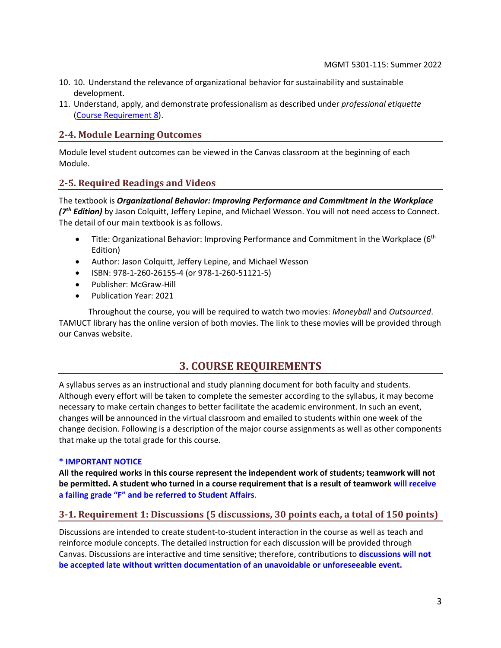- 10. 10. Understand the relevance of organizational behavior for sustainability and sustainable development.
- 11. Understand, apply, and demonstrate professionalism as described under *professional etiquette* [\(Course Requirement 8\)](#page-4-0).

## **2-4. Module Learning Outcomes**

Module level student outcomes can be viewed in the Canvas classroom at the beginning of each Module.

## **2-5. Required Readings and Videos**

The textbook is *Organizational Behavior: Improving Performance and Commitment in the Workplace (7 th Edition)* by Jason Colquitt, Jeffery Lepine, and Michael Wesson. You will not need access to Connect. The detail of our main textbook is as follows.

- Title: Organizational Behavior: Improving Performance and Commitment in the Workplace (6<sup>th</sup> Edition)
- Author: Jason Colquitt, Jeffery Lepine, and Michael Wesson
- ISBN: 978-1-260-26155-4 (or 978-1-260-51121-5)
- Publisher: McGraw-Hill
- Publication Year: 2021

<span id="page-2-0"></span>Throughout the course, you will be required to watch two movies: *Moneyball* and *Outsourced*. TAMUCT library has the online version of both movies. The link to these movies will be provided through our Canvas website.

## **3. COURSE REQUIREMENTS**

A syllabus serves as an instructional and study planning document for both faculty and students. Although every effort will be taken to complete the semester according to the syllabus, it may become necessary to make certain changes to better facilitate the academic environment. In such an event, changes will be announced in the virtual classroom and emailed to students within one week of the change decision. Following is a description of the major course assignments as well as other components that make up the total grade for this course.

#### **\* IMPORTANT NOTICE**

**All the required works in this course represent the independent work of students; teamwork will not be permitted. A student who turned in a course requirement that is a result of teamwork will receive a failing grade "F" and be referred to Student Affairs**.

## **3-1. Requirement 1: Discussions (5 discussions, 30 points each, a total of 150 points)**

Discussions are intended to create student-to-student interaction in the course as well as teach and reinforce module concepts. The detailed instruction for each discussion will be provided through Canvas. Discussions are interactive and time sensitive; therefore, contributions to **discussions will not be accepted late without written documentation of an unavoidable or unforeseeable event.**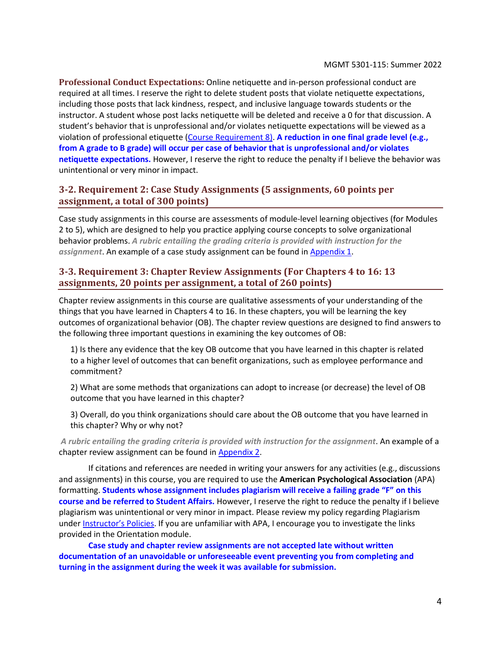**Professional Conduct Expectations:** Online netiquette and in-person professional conduct are required at all times. I reserve the right to delete student posts that violate netiquette expectations, including those posts that lack kindness, respect, and inclusive language towards students or the instructor. A student whose post lacks netiquette will be deleted and receive a 0 for that discussion. A student's behavior that is unprofessional and/or violates netiquette expectations will be viewed as a violation of professional etiquette [\(Course Requirement 8\)](#page-4-0). **A reduction in one final grade level (e.g., from A grade to B grade) will occur per case of behavior that is unprofessional and/or violates netiquette expectations.** However, I reserve the right to reduce the penalty if I believe the behavior was unintentional or very minor in impact.

## **3-2. Requirement 2: Case Study Assignments (5 assignments, 60 points per assignment, a total of 300 points)**

Case study assignments in this course are assessments of module-level learning objectives (for Modules 2 to 5), which are designed to help you practice applying course concepts to solve organizational behavior problems. *A rubric entailing the grading criteria is provided with instruction for the assignment*. An example of a case study assignment can be found in [Appendix](#page-22-0) 1.

## **3-3. Requirement 3: Chapter Review Assignments (For Chapters 4 to 16: 13 assignments, 20 points per assignment, a total of 260 points)**

Chapter review assignments in this course are qualitative assessments of your understanding of the things that you have learned in Chapters 4 to 16. In these chapters, you will be learning the key outcomes of organizational behavior (OB). The chapter review questions are designed to find answers to the following three important questions in examining the key outcomes of OB:

1) Is there any evidence that the key OB outcome that you have learned in this chapter is related to a higher level of outcomes that can benefit organizations, such as employee performance and commitment?

2) What are some methods that organizations can adopt to increase (or decrease) the level of OB outcome that you have learned in this chapter?

3) Overall, do you think organizations should care about the OB outcome that you have learned in this chapter? Why or why not?

*A rubric entailing the grading criteria is provided with instruction for the assignment*. An example of a chapter review assignment can be found in [Appendix](#page-25-0) 2.

If citations and references are needed in writing your answers for any activities (e.g., discussions and assignments) in this course, you are required to use the **American Psychological Association** (APA) formatting. **Students whose assignment includes plagiarism will receive a failing grade "F" on this course and be referred to Student Affairs.** However, I reserve the right to reduce the penalty if I believe plagiarism was unintentional or very minor in impact. Please review my policy regarding Plagiarism under **Instructor's Policies**. If you are unfamiliar with APA, I encourage you to investigate the links provided in the Orientation module.

**Case study and chapter review assignments are not accepted late without written documentation of an unavoidable or unforeseeable event preventing you from completing and turning in the assignment during the week it was available for submission.**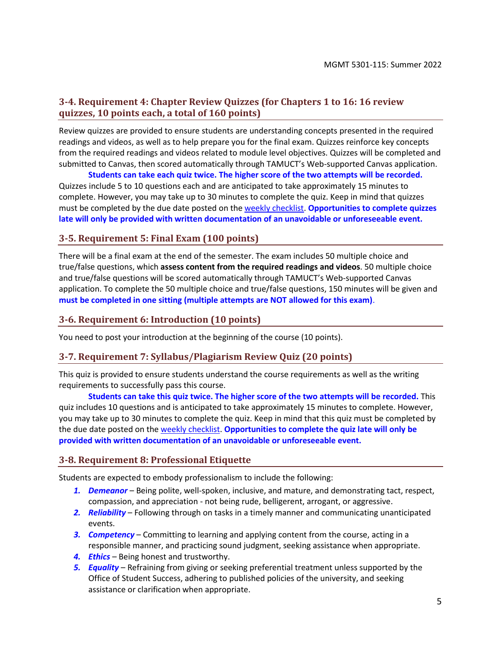## **3-4. Requirement 4: Chapter Review Quizzes (for Chapters 1 to 16: 16 review quizzes, 10 points each, a total of 160 points)**

Review quizzes are provided to ensure students are understanding concepts presented in the required readings and videos, as well as to help prepare you for the final exam. Quizzes reinforce key concepts from the required readings and videos related to module level objectives. Quizzes will be completed and submitted to Canvas, then scored automatically through TAMUCT's Web-supported Canvas application.

**Students can take each quiz twice. The higher score of the two attempts will be recorded.** Quizzes include 5 to 10 questions each and are anticipated to take approximately 15 minutes to complete. However, you may take up to 30 minutes to complete the quiz. Keep in mind that quizzes must be completed by the due date posted on the [weekly checklist.](#page-8-0) **Opportunities to complete quizzes late will only be provided with written documentation of an unavoidable or unforeseeable event.**

## **3-5. Requirement 5: Final Exam (100 points)**

There will be a final exam at the end of the semester. The exam includes 50 multiple choice and true/false questions, which **assess content from the required readings and videos**. 50 multiple choice and true/false questions will be scored automatically through TAMUCT's Web-supported Canvas application. To complete the 50 multiple choice and true/false questions, 150 minutes will be given and **must be completed in one sitting (multiple attempts are NOT allowed for this exam)**.

### **3-6. Requirement 6: Introduction (10 points)**

You need to post your introduction at the beginning of the course (10 points).

### **3-7. Requirement 7: Syllabus/Plagiarism Review Quiz (20 points)**

This quiz is provided to ensure students understand the course requirements as well as the writing requirements to successfully pass this course.

**Students can take this quiz twice. The higher score of the two attempts will be recorded.** This quiz includes 10 questions and is anticipated to take approximately 15 minutes to complete. However, you may take up to 30 minutes to complete the quiz. Keep in mind that this quiz must be completed by the due date posted on th[e weekly checklist.](#page-8-0) **Opportunities to complete the quiz late will only be provided with written documentation of an unavoidable or unforeseeable event.**

#### <span id="page-4-0"></span>**3-8. Requirement 8: Professional Etiquette**

Students are expected to embody professionalism to include the following:

- *1. Demeanor* Being polite, well-spoken, inclusive, and mature, and demonstrating tact, respect, compassion, and appreciation - not being rude, belligerent, arrogant, or aggressive.
- *2. Reliability* Following through on tasks in a timely manner and communicating unanticipated events.
- *3. Competency* Committing to learning and applying content from the course, acting in a responsible manner, and practicing sound judgment, seeking assistance when appropriate.
- *4. Ethics* Being honest and trustworthy.
- *5. Equality* Refraining from giving or seeking preferential treatment unless supported by the Office of Student Success, adhering to published policies of the university, and seeking assistance or clarification when appropriate.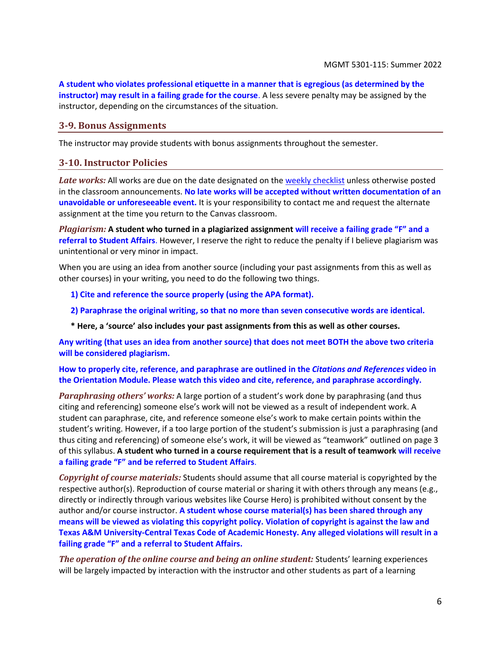**A student who violates professional etiquette in a manner that is egregious (as determined by the instructor) may result in a failing grade for the course**. A less severe penalty may be assigned by the instructor, depending on the circumstances of the situation.

#### **3-9. Bonus Assignments**

<span id="page-5-0"></span>The instructor may provide students with bonus assignments throughout the semester.

#### **3-10. Instructor Policies**

Late works: All works are due on the date designated on the [weekly checklist](#page-8-0) unless otherwise posted in the classroom announcements. **No late works will be accepted without written documentation of an unavoidable or unforeseeable event.** It is your responsibility to contact me and request the alternate assignment at the time you return to the Canvas classroom.

*Plagiarism:* **A student who turned in a plagiarized assignment will receive a failing grade "F" and a referral to Student Affairs**. However, I reserve the right to reduce the penalty if I believe plagiarism was unintentional or very minor in impact.

When you are using an idea from another source (including your past assignments from this as well as other courses) in your writing, you need to do the following two things.

**1) Cite and reference the source properly (using the APA format).**

**2) Paraphrase the original writing, so that no more than seven consecutive words are identical.**

**\* Here, a 'source' also includes your past assignments from this as well as other courses.**

**Any writing (that uses an idea from another source) that does not meet BOTH the above two criteria will be considered plagiarism.**

**How to properly cite, reference, and paraphrase are outlined in the** *Citations and References* **video in the Orientation Module. Please watch this video and cite, reference, and paraphrase accordingly.** 

*Paraphrasing others' works:* A large portion of a student's work done by paraphrasing (and thus citing and referencing) someone else's work will not be viewed as a result of independent work. A student can paraphrase, cite, and reference someone else's work to make certain points within the student's writing. However, if a too large portion of the student's submission is just a paraphrasing (and thus citing and referencing) of someone else's work, it will be viewed as "teamwork" outlined on page 3 of this syllabus. **A student who turned in a course requirement that is a result of teamwork will receive a failing grade "F" and be referred to Student Affairs**.

*Copyright of course materials:* Students should assume that all course material is copyrighted by the respective author(s). Reproduction of course material or sharing it with others through any means (e.g., directly or indirectly through various websites like Course Hero) is prohibited without consent by the author and/or course instructor. **A student whose course material(s) has been shared through any means will be viewed as violating this copyright policy. Violation of copyright is against the law and Texas A&M University-Central Texas Code of Academic Honesty. Any alleged violations will result in a failing grade "F" and a referral to Student Affairs.**

*The operation of the online course and being an online student:* Students' learning experiences will be largely impacted by interaction with the instructor and other students as part of a learning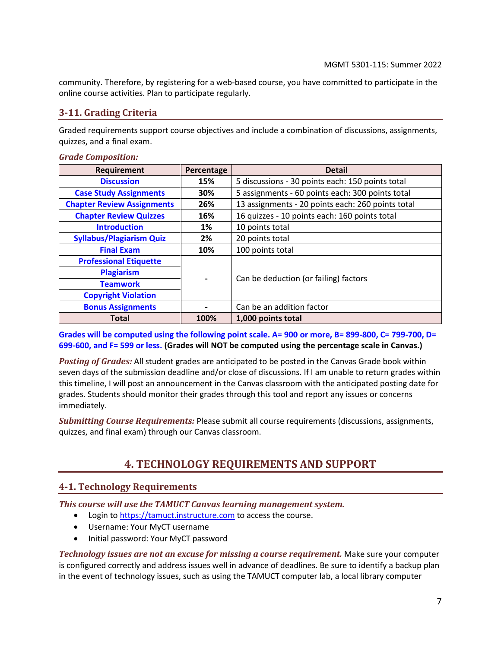community. Therefore, by registering for a web-based course, you have committed to participate in the online course activities. Plan to participate regularly.

## <span id="page-6-2"></span>**3-11. Grading Criteria**

Graded requirements support course objectives and include a combination of discussions, assignments, quizzes, and a final exam.

#### *Grade Composition:*

| Requirement                       | Percentage | <b>Detail</b>                                     |
|-----------------------------------|------------|---------------------------------------------------|
| <b>Discussion</b>                 | 15%        | 5 discussions - 30 points each: 150 points total  |
| <b>Case Study Assignments</b>     | 30%        | 5 assignments - 60 points each: 300 points total  |
| <b>Chapter Review Assignments</b> | 26%        | 13 assignments - 20 points each: 260 points total |
| <b>Chapter Review Quizzes</b>     | 16%        | 16 quizzes - 10 points each: 160 points total     |
| <b>Introduction</b>               | 1%         | 10 points total                                   |
| <b>Syllabus/Plagiarism Quiz</b>   | 2%         | 20 points total                                   |
| <b>Final Exam</b>                 | 10%        | 100 points total                                  |
| <b>Professional Etiquette</b>     |            |                                                   |
| <b>Plagiarism</b>                 |            |                                                   |
| <b>Teamwork</b>                   |            | Can be deduction (or failing) factors             |
| <b>Copyright Violation</b>        |            |                                                   |
| <b>Bonus Assignments</b>          |            | Can be an addition factor                         |
| <b>Total</b>                      | 100%       | 1,000 points total                                |

**Grades will be computed using the following point scale. A= 900 or more, B= 899-800, C= 799-700, D= 699-600, and F= 599 or less. (Grades will NOT be computed using the percentage scale in Canvas.)**

*Posting of Grades:* All student grades are anticipated to be posted in the Canvas Grade book within seven days of the submission deadline and/or close of discussions. If I am unable to return grades within this timeline, I will post an announcement in the Canvas classroom with the anticipated posting date for grades. Students should monitor their grades through this tool and report any issues or concerns immediately.

<span id="page-6-0"></span>*Submitting Course Requirements:* Please submit all course requirements (discussions, assignments, quizzes, and final exam) through our Canvas classroom.

# **4. TECHNOLOGY REQUIREMENTS AND SUPPORT**

## <span id="page-6-1"></span>**4-1. Technology Requirements**

*This course will use the TAMUCT Canvas learning management system.*

- Login to [https://tamuct.instructure.com](https://tamuct.instructure.com/) to access the course.
- Username: Your MyCT username
- Initial password: Your MyCT password

*Technology issues are not an excuse for missing a course requirement.* Make sure your computer is configured correctly and address issues well in advance of deadlines. Be sure to identify a backup plan in the event of technology issues, such as using the TAMUCT computer lab, a local library computer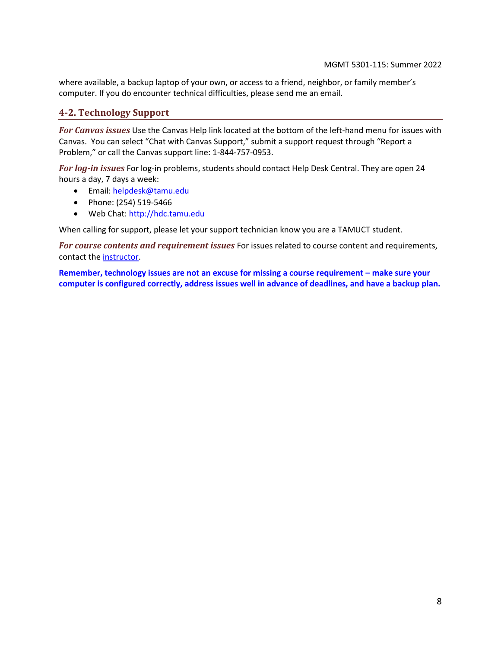where available, a backup laptop of your own, or access to a friend, neighbor, or family member's computer. If you do encounter technical difficulties, please send me an email.

## **4-2. Technology Support**

*For Canvas issues* Use the Canvas Help link located at the bottom of the left-hand menu for issues with Canvas. You can select "Chat with Canvas Support," submit a support request through "Report a Problem," or call the Canvas support line: 1-844-757-0953.

*For log-in issues* For log-in problems, students should contact Help Desk Central. They are open 24 hours a day, 7 days a week:

- Email: [helpdesk@tamu.edu](mailto:helpdesk@tamu.edu)
- Phone: (254) 519-5466
- Web Chat[: http://hdc.tamu.edu](http://hdc.tamu.edu/)

When calling for support, please let your support technician know you are a TAMUCT student.

*For course contents and requirement issues* For issues related to course content and requirements, contact th[e instructor.](#page-0-0)

**Remember, technology issues are not an excuse for missing a course requirement – make sure your computer is configured correctly, address issues well in advance of deadlines, and have a backup plan.**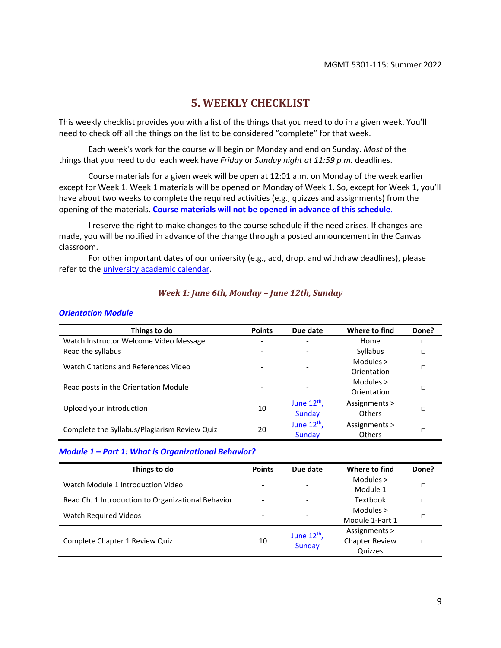## **5. WEEKLY CHECKLIST**

<span id="page-8-0"></span>This weekly checklist provides you with a list of the things that you need to do in a given week. You'll need to check off all the things on the list to be considered "complete" for that week.

Each week's work for the course will begin on Monday and end on Sunday. *Most* of the things that you need to do each week have *Friday* or *Sunday night at 11:59 p.m.* deadlines.

Course materials for a given week will be open at 12:01 a.m. on Monday of the week earlier except for Week 1. Week 1 materials will be opened on Monday of Week 1. So, except for Week 1, you'll have about two weeks to complete the required activities (e.g., quizzes and assignments) from the opening of the materials. **Course materials will not be opened in advance of this schedule**.

I reserve the right to make changes to the course schedule if the need arises. If changes are made, you will be notified in advance of the change through a posted announcement in the Canvas classroom.

For other important dates of our university (e.g., add, drop, and withdraw deadlines), please refer to the [university academic calendar.](https://www.tamuct.edu/registrar/academic-calendar.html)

#### *Week 1: June 6th, Monday – June 12th, Sunday*

#### *Orientation Module*

| Things to do                                 | <b>Points</b> | Due date                 | Where to find   | Done? |             |
|----------------------------------------------|---------------|--------------------------|-----------------|-------|-------------|
| Watch Instructor Welcome Video Message       |               |                          | Home            | □     |             |
| Read the syllabus                            |               | $\overline{\phantom{a}}$ | <b>Syllabus</b> | П     |             |
| Watch Citations and References Video         |               |                          | Modules >       |       |             |
|                                              |               |                          | Orientation     |       |             |
|                                              |               |                          | Modules $>$     |       |             |
| Read posts in the Orientation Module         |               |                          |                 |       | Orientation |
|                                              |               | June $12^{th}$ ,         | Assignments >   |       |             |
| Upload your introduction                     | 10            | Sunday                   | <b>Others</b>   |       |             |
| Complete the Syllabus/Plagiarism Review Quiz |               | June $12th$ ,            | Assignments >   |       |             |
|                                              | 20            | Sunday                   | <b>Others</b>   |       |             |

#### *Module 1 – Part 1: What is Organizational Behavior?*

| Things to do                                       | <b>Points</b> | Due date                 | Where to find         | Done? |
|----------------------------------------------------|---------------|--------------------------|-----------------------|-------|
| Watch Module 1 Introduction Video                  |               | $\overline{\phantom{0}}$ | Modules $>$           |       |
|                                                    |               |                          | Module 1              |       |
| Read Ch. 1 Introduction to Organizational Behavior |               |                          | Textbook              |       |
|                                                    |               | ۰                        | Modules $>$           |       |
| <b>Watch Required Videos</b>                       |               |                          | Module 1-Part 1       |       |
|                                                    |               | June $12^{th}$ ,         | Assignments >         |       |
| Complete Chapter 1 Review Quiz                     | 10            | <b>Sunday</b>            | <b>Chapter Review</b> |       |
|                                                    |               |                          | Quizzes               |       |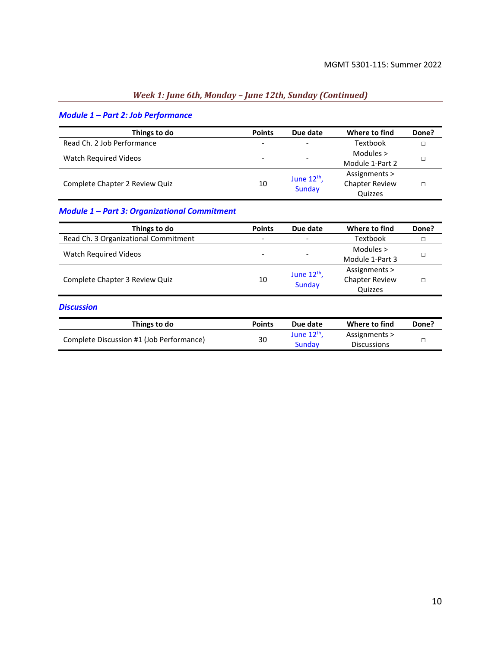## *Week 1: June 6th, Monday – June 12th, Sunday (Continued)*

## *Module 1 – Part 2: Job Performance*

| Things to do                   | <b>Points</b>            | Due date                          | Where to find         | Done? |
|--------------------------------|--------------------------|-----------------------------------|-----------------------|-------|
| Read Ch. 2 Job Performance     | $\overline{\phantom{a}}$ | $\qquad \qquad -$                 | Textbook              |       |
| Watch Required Videos          |                          | -                                 | Modules $>$           |       |
|                                |                          |                                   | Module 1-Part 2       |       |
|                                | 10                       | June $12^{th}$ ,<br><b>Sunday</b> | Assignments >         |       |
| Complete Chapter 2 Review Quiz |                          |                                   | <b>Chapter Review</b> |       |
|                                |                          |                                   | Quizzes               |       |

### *Module 1 – Part 3: Organizational Commitment*

Complete Discussion #1 (Job Performance) 30

| Things to do                         | <b>Points</b>            | Due date                          | Where to find         | Done? |
|--------------------------------------|--------------------------|-----------------------------------|-----------------------|-------|
| Read Ch. 3 Organizational Commitment | $\overline{\phantom{a}}$ | -                                 | Textbook              | п     |
| <b>Watch Required Videos</b>         |                          | $\overline{\phantom{0}}$          | Modules $>$           | П     |
|                                      |                          |                                   | Module 1-Part 3       |       |
| Complete Chapter 3 Review Quiz       | 10                       | June $12^{th}$ ,<br><b>Sunday</b> | Assignments >         | П     |
|                                      |                          |                                   | <b>Chapter Review</b> |       |
|                                      |                          |                                   | Quizzes               |       |
| <b>Discussion</b>                    |                          |                                   |                       |       |
| Things to do                         | <b>Points</b>            | Due date                          | Where to find         | Done? |

June 12<sup>th</sup>, Sunday

Assignments >

 $Discussions$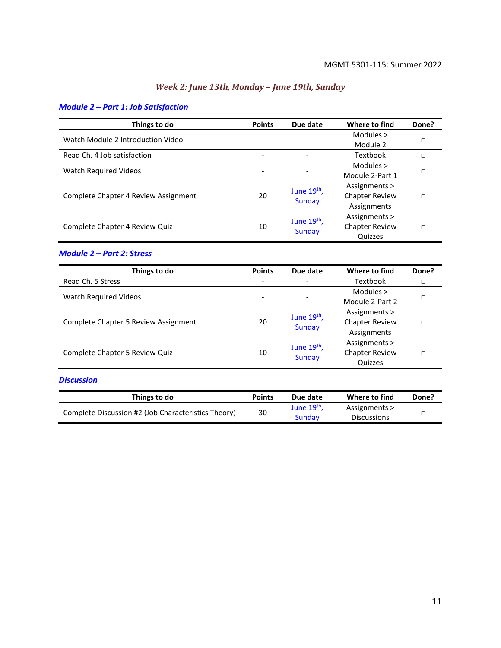<u> 1990 - Johann Barbara, martin eta </u>

## *Week 2: June 13th, Monday – June 19th, Sunday*

## *Module 2 – Part 1: Job Satisfaction*

| Things to do                         | <b>Points</b> | Due date                          | Where to find         | Done? |
|--------------------------------------|---------------|-----------------------------------|-----------------------|-------|
| Watch Module 2 Introduction Video    |               |                                   | Modules $>$           |       |
|                                      |               |                                   | Module 2              | п     |
| Read Ch. 4 Job satisfaction          |               | -                                 | Textbook              |       |
| Watch Required Videos                |               | $\qquad \qquad \blacksquare$      | Modules $>$           |       |
|                                      |               |                                   | Module 2-Part 1       |       |
|                                      | 20            | June $19th$ ,<br><b>Sunday</b>    | Assignments >         | П     |
| Complete Chapter 4 Review Assignment |               |                                   | <b>Chapter Review</b> |       |
|                                      |               |                                   | Assignments           |       |
|                                      |               |                                   | Assignments >         |       |
| Complete Chapter 4 Review Quiz       | 10            | June 19 <sup>th</sup> ,<br>Sunday | <b>Chapter Review</b> | П     |
|                                      |               |                                   | Quizzes               |       |

#### *Module 2 – Part 2: Stress*

| Things to do                         | <b>Points</b>            | Due date                                 | Where to find         | Done? |
|--------------------------------------|--------------------------|------------------------------------------|-----------------------|-------|
| Read Ch. 5 Stress                    | $\overline{\phantom{0}}$ | $\qquad \qquad -$                        | <b>Textbook</b>       |       |
| <b>Watch Required Videos</b>         |                          | $\overline{\phantom{a}}$                 | Modules $>$           |       |
|                                      |                          |                                          | Module 2-Part 2       |       |
| Complete Chapter 5 Review Assignment | 20                       | June 19 <sup>th</sup> ,<br><b>Sunday</b> | Assignments >         |       |
|                                      |                          |                                          | <b>Chapter Review</b> |       |
|                                      |                          |                                          | Assignments           |       |
| Complete Chapter 5 Review Quiz       |                          | June 19 <sup>th</sup> ,                  | Assignments >         |       |
|                                      | 10                       |                                          | <b>Chapter Review</b> |       |
|                                      |                          | <b>Sunday</b>                            | Quizzes               |       |

#### *Discussion*

| Things to do                                        | <b>Points</b> | Due date              | Where to find      | Done? |
|-----------------------------------------------------|---------------|-----------------------|--------------------|-------|
| Complete Discussion #2 (Job Characteristics Theory) | 30            | June 19 <sup>th</sup> | Assignments >      |       |
|                                                     |               | Sunday                | <b>Discussions</b> |       |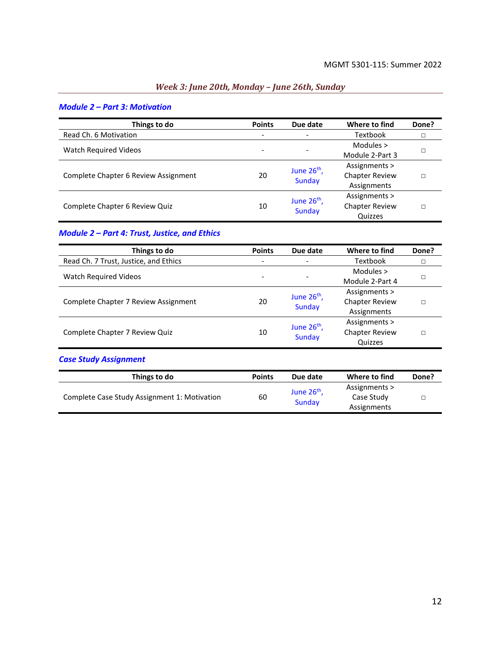<u> 1990 - Johann Barbara, martxa eta </u>

## *Week 3: June 20th, Monday – June 26th, Sunday*

| Things to do                         | <b>Points</b> | Due date                       | Where to find         | Done? |
|--------------------------------------|---------------|--------------------------------|-----------------------|-------|
| Read Ch. 6 Motivation                |               | $\overline{\phantom{a}}$       | Textbook              |       |
| Watch Required Videos                |               |                                | Modules $>$           |       |
|                                      |               |                                | Module 2-Part 3       |       |
|                                      | 20            | June $26th$ ,<br><b>Sunday</b> | Assignments >         |       |
| Complete Chapter 6 Review Assignment |               |                                | <b>Chapter Review</b> |       |
|                                      |               |                                | Assignments           |       |
| Complete Chapter 6 Review Quiz       | 10            | June $26th$ ,<br><b>Sunday</b> | Assignments >         |       |
|                                      |               |                                | <b>Chapter Review</b> |       |
|                                      |               |                                | Quizzes               |       |

#### *Module 2 – Part 3: Motivation*

## *Module 2 – Part 4: Trust, Justice, and Ethics*

| Things to do                          | <b>Points</b> | Due date                 | Where to find         | Done? |
|---------------------------------------|---------------|--------------------------|-----------------------|-------|
| Read Ch. 7 Trust, Justice, and Ethics | -             | $\overline{\phantom{a}}$ | <b>Textbook</b>       |       |
| <b>Watch Required Videos</b>          |               |                          | Modules $>$           |       |
|                                       |               |                          | Module 2-Part 4       |       |
|                                       | 20            | June $26th$ ,<br>Sunday  | Assignments >         |       |
| Complete Chapter 7 Review Assignment  |               |                          | <b>Chapter Review</b> |       |
|                                       |               |                          | Assignments           |       |
|                                       |               | June $26th$ ,            | Assignments >         |       |
| Complete Chapter 7 Review Quiz        | 10            |                          | <b>Chapter Review</b> |       |
|                                       |               | Sunday                   | Quizzes               |       |

## *Case Study Assignment*

| Things to do                                 | <b>Points</b> | Due date                          | Where to find                              | Done? |
|----------------------------------------------|---------------|-----------------------------------|--------------------------------------------|-------|
| Complete Case Study Assignment 1: Motivation | 60            | June 26 <sup>th</sup> ,<br>Sunday | Assignments ><br>Case Study<br>Assignments |       |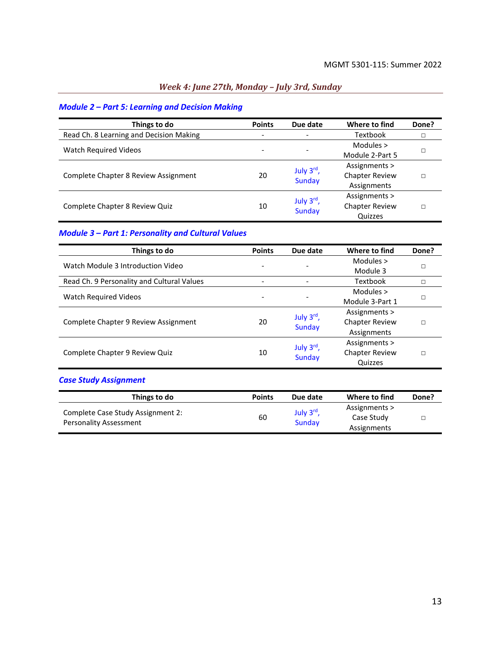<u> 1990 - Johann Barbara, martxa a</u>

## *Week 4: June 27th, Monday – July 3rd, Sunday*

## *Module 2 – Part 5: Learning and Decision Making*

| Things to do                            | <b>Points</b>            | Due date                      | Where to find         | Done? |
|-----------------------------------------|--------------------------|-------------------------------|-----------------------|-------|
|                                         |                          |                               |                       |       |
| Read Ch. 8 Learning and Decision Making | $\overline{\phantom{0}}$ |                               | Textbook              | п     |
| <b>Watch Required Videos</b>            |                          |                               | Modules >             |       |
|                                         |                          |                               | Module 2-Part 5       |       |
|                                         | 20                       | July 3rd,<br><b>Sunday</b>    | Assignments >         |       |
| Complete Chapter 8 Review Assignment    |                          |                               | <b>Chapter Review</b> |       |
|                                         |                          |                               | Assignments           |       |
|                                         |                          |                               | Assignments >         |       |
| Complete Chapter 8 Review Quiz          | 10                       | July $3rd$ ,<br><b>Sunday</b> | <b>Chapter Review</b> |       |
|                                         |                          |                               | Quizzes               |       |

## *Module 3 – Part 1: Personality and Cultural Values*

| Things to do                               | <b>Points</b> | Due date                   | Where to find         | Done? |
|--------------------------------------------|---------------|----------------------------|-----------------------|-------|
| Watch Module 3 Introduction Video          |               |                            | Modules $>$           |       |
|                                            |               |                            | Module 3              |       |
| Read Ch. 9 Personality and Cultural Values |               | ٠                          | Textbook              |       |
| Watch Required Videos                      |               |                            | Modules >             |       |
|                                            |               |                            | Module 3-Part 1       |       |
|                                            | 20            | July 3rd,<br><b>Sunday</b> | Assignments >         |       |
| Complete Chapter 9 Review Assignment       |               |                            | <b>Chapter Review</b> |       |
|                                            |               |                            | Assignments           |       |
| Complete Chapter 9 Review Quiz             |               |                            | Assignments >         |       |
|                                            | 10            | July 3rd,                  | <b>Chapter Review</b> |       |
|                                            |               | <b>Sunday</b>              | Quizzes               |       |

## *Case Study Assignment*

| Things to do                                                | <b>Points</b> | Due date                         | Where to find                              | Done? |
|-------------------------------------------------------------|---------------|----------------------------------|--------------------------------------------|-------|
| Complete Case Study Assignment 2:<br>Personality Assessment | 60            | July 3 <sup>rd</sup> ,<br>Sunday | Assignments ><br>Case Study<br>Assignments |       |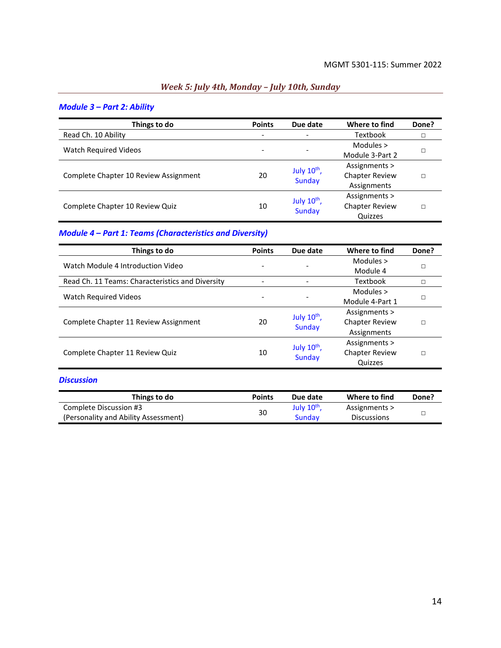# *Week 5: July 4th, Monday – July 10th, Sunday*

|                                       | <b>Points</b> | Due date                   | Where to find         | Done? |
|---------------------------------------|---------------|----------------------------|-----------------------|-------|
| Things to do                          |               |                            |                       |       |
| Read Ch. 10 Ability                   |               | $\overline{\phantom{a}}$   | Textbook              |       |
| Watch Required Videos                 |               |                            | Modules $>$           |       |
|                                       |               | $\qquad \qquad -$          | Module 3-Part 2       |       |
|                                       | 20            | July $10^{th}$ ,<br>Sunday | Assignments >         |       |
| Complete Chapter 10 Review Assignment |               |                            | <b>Chapter Review</b> |       |
|                                       |               |                            | Assignments           |       |
| Complete Chapter 10 Review Quiz       |               |                            | Assignments >         |       |
|                                       | 10            | July 10 <sup>th</sup> ,    | <b>Chapter Review</b> |       |
|                                       |               | <b>Sunday</b>              | Quizzes               |       |

#### *Module 3 – Part 2: Ability*

## *Module 4 – Part 1: Teams (Characteristics and Diversity)*

| Things to do                                     | <b>Points</b> | Due date                          | Where to find         | Done? |
|--------------------------------------------------|---------------|-----------------------------------|-----------------------|-------|
| Watch Module 4 Introduction Video                |               |                                   | Modules $>$           |       |
|                                                  |               |                                   | Module 4              |       |
| Read Ch. 11 Teams: Characteristics and Diversity |               |                                   | Textbook              |       |
| Watch Required Videos                            |               |                                   | Modules >             |       |
|                                                  |               |                                   | Module 4-Part 1       |       |
|                                                  | 20            | July 10 <sup>th</sup> ,<br>Sunday | Assignments >         |       |
| Complete Chapter 11 Review Assignment            |               |                                   | <b>Chapter Review</b> |       |
|                                                  |               |                                   | Assignments           |       |
| Complete Chapter 11 Review Quiz                  |               |                                   | Assignments >         |       |
|                                                  | 10            | July $10^{th}$ ,                  | <b>Chapter Review</b> |       |
|                                                  |               | Sunday                            | Quizzes               |       |

#### *Discussion*

| Things to do                         | <b>Points</b> | Due date              | Where to find      | Done? |
|--------------------------------------|---------------|-----------------------|--------------------|-------|
| Complete Discussion #3               | 30            | July $10^{\text{th}}$ | Assignments >      |       |
| (Personality and Ability Assessment) |               | Sundav                | <b>Discussions</b> |       |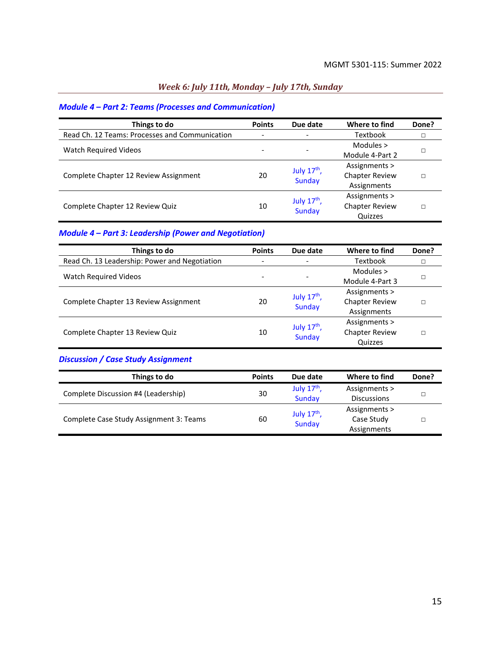## *Week 6: July 11th, Monday – July 17th, Sunday*

## *Module 4 – Part 2: Teams (Processes and Communication)*

| Things to do                                   | <b>Points</b> | Due date                       | Where to find         | Done? |
|------------------------------------------------|---------------|--------------------------------|-----------------------|-------|
| Read Ch. 12 Teams: Processes and Communication |               | $\overline{\phantom{0}}$       | Textbook              |       |
| <b>Watch Required Videos</b>                   |               |                                | Modules $>$           |       |
|                                                |               | $\overline{\phantom{0}}$       | Module 4-Part 2       |       |
| Complete Chapter 12 Review Assignment          | 20            | July $17th$ ,<br>Sunday        | Assignments >         |       |
|                                                |               |                                | <b>Chapter Review</b> |       |
|                                                |               |                                | Assignments           |       |
| Complete Chapter 12 Review Quiz                |               |                                | Assignments >         |       |
|                                                | 10            | July $17th$ ,<br><b>Sunday</b> | <b>Chapter Review</b> |       |
|                                                |               |                                | Quizzes               |       |

## *Module 4 – Part 3: Leadership (Power and Negotiation)*

| Things to do                                  | <b>Points</b>            | Due date                     | Where to find         | Done? |
|-----------------------------------------------|--------------------------|------------------------------|-----------------------|-------|
| Read Ch. 13 Leadership: Power and Negotiation | $\overline{\phantom{0}}$ | $\qquad \qquad \blacksquare$ | Textbook              |       |
| <b>Watch Required Videos</b>                  |                          |                              | Modules $>$           |       |
|                                               |                          |                              | Module 4-Part 3       |       |
| Complete Chapter 13 Review Assignment         | 20                       | July $17th$ ,                | Assignments >         |       |
|                                               |                          | Sunday                       | <b>Chapter Review</b> |       |
|                                               |                          |                              | Assignments           |       |
| Complete Chapter 13 Review Quiz               |                          | July $17th$ ,                | Assignments >         |       |
|                                               | 10                       |                              | <b>Chapter Review</b> |       |
|                                               |                          | Sunday                       | Quizzes               |       |

## *Discussion / Case Study Assignment*

| Things to do                            | <b>Points</b> | Due date      | Where to find      | Done? |
|-----------------------------------------|---------------|---------------|--------------------|-------|
| Complete Discussion #4 (Leadership)     | 30            | July $17th$ , | Assignments >      |       |
|                                         |               | Sunday        | <b>Discussions</b> |       |
| Complete Case Study Assignment 3: Teams | 60            | July $17th$ , | Assignments >      |       |
|                                         |               |               | Case Study         |       |
|                                         |               | Sunday        | Assignments        |       |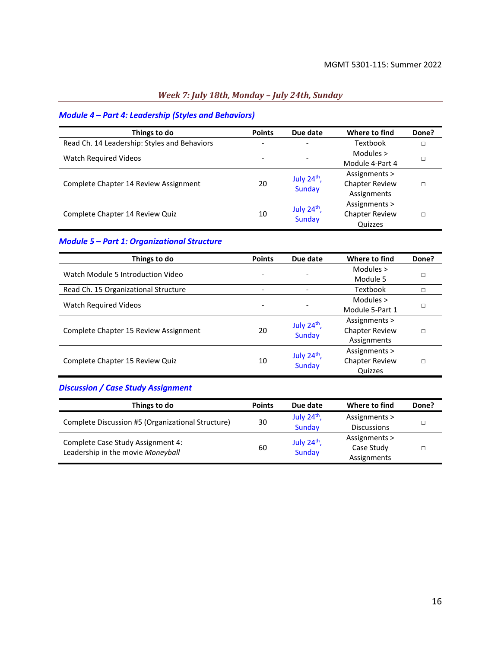## *Week 7: July 18th, Monday – July 24th, Sunday*

## *Module 4 – Part 4: Leadership (Styles and Behaviors)*

| Things to do                                 | <b>Points</b>            | Due date                   | Where to find         | Done? |
|----------------------------------------------|--------------------------|----------------------------|-----------------------|-------|
| Read Ch. 14 Leadership: Styles and Behaviors | $\overline{\phantom{a}}$ |                            | <b>Textbook</b>       |       |
| <b>Watch Required Videos</b>                 |                          |                            | Modules $>$           |       |
|                                              |                          |                            | Module 4-Part 4       |       |
| Complete Chapter 14 Review Assignment        | 20                       | July $24th$ ,              | Assignments >         |       |
|                                              |                          | <b>Sunday</b>              | <b>Chapter Review</b> |       |
|                                              |                          |                            | Assignments           |       |
|                                              |                          |                            | Assignments >         |       |
| Complete Chapter 14 Review Quiz              | 10                       | July $24^{th}$ ,<br>Sunday | <b>Chapter Review</b> |       |
|                                              |                          |                            | Quizzes               |       |

## *Module 5 – Part 1: Organizational Structure*

| Things to do                          | <b>Points</b> | Due date                | Where to find         | Done? |
|---------------------------------------|---------------|-------------------------|-----------------------|-------|
| Watch Module 5 Introduction Video     |               |                         | Modules $>$           |       |
|                                       |               |                         | Module 5              | П     |
| Read Ch. 15 Organizational Structure  |               |                         | Textbook              |       |
| <b>Watch Required Videos</b>          |               |                         | Modules $>$           |       |
|                                       |               |                         | Module 5-Part 1       |       |
|                                       |               | July $24th$ ,<br>Sunday | Assignments >         | П     |
| Complete Chapter 15 Review Assignment | 20            |                         | <b>Chapter Review</b> |       |
|                                       |               |                         | Assignments           |       |
| Complete Chapter 15 Review Quiz       |               |                         | Assignments >         |       |
|                                       | 10            | July $24th$ ,           | <b>Chapter Review</b> | П     |
|                                       |               | <b>Sunday</b>           | Quizzes               |       |

## *Discussion / Case Study Assignment*

| Things to do                                                           | <b>Points</b> | Due date      | Where to find      | Done? |
|------------------------------------------------------------------------|---------------|---------------|--------------------|-------|
| Complete Discussion #5 (Organizational Structure)                      | 30            | July $24th$ , | Assignments >      |       |
|                                                                        |               | Sunday        | <b>Discussions</b> |       |
| Complete Case Study Assignment 4:<br>Leadership in the movie Moneyball | 60            |               | Assignments >      |       |
|                                                                        |               | July $24th$ , | Case Study         |       |
|                                                                        |               | Sunday        | Assignments        |       |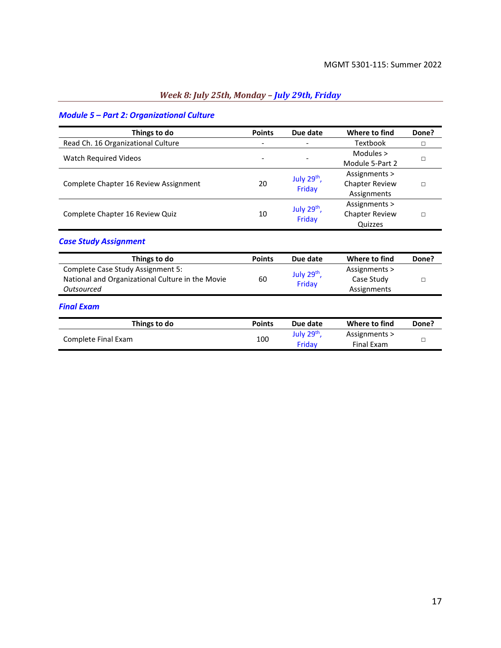## *Week 8: July 25th, Monday – July 29th, Friday*

## *Module 5 – Part 2: Organizational Culture*

| Things to do                                                                                        | <b>Points</b> | Due date                          | Where to find                                         | Done?  |
|-----------------------------------------------------------------------------------------------------|---------------|-----------------------------------|-------------------------------------------------------|--------|
| Read Ch. 16 Organizational Culture                                                                  |               |                                   | Textbook                                              | $\Box$ |
| Watch Required Videos                                                                               |               |                                   | Modules ><br>Module 5-Part 2                          | п      |
| Complete Chapter 16 Review Assignment                                                               | 20            | July 29 <sup>th</sup> ,<br>Friday | Assignments ><br><b>Chapter Review</b><br>Assignments | $\Box$ |
| Complete Chapter 16 Review Quiz                                                                     | 10            | July 29th,<br>Friday              | Assignments ><br><b>Chapter Review</b><br>Quizzes     | $\Box$ |
| <b>Case Study Assignment</b>                                                                        |               |                                   |                                                       |        |
| Things to do                                                                                        | <b>Points</b> | Due date                          | Where to find                                         | Done?  |
| Complete Case Study Assignment 5:<br>National and Organizational Culture in the Movie<br>Outsourced | 60            | July $29^{th}$ ,<br>Friday        | Assignments ><br>Case Study<br>Assignments            | П      |
| <b>Final Exam</b>                                                                                   |               |                                   |                                                       |        |
| Things to do                                                                                        | <b>Points</b> | Due date                          | Where to find                                         | Done?  |
| Complete Final Exam                                                                                 | 100           | July 29 <sup>th</sup> ,<br>Friday | Assignments ><br><b>Final Exam</b>                    | П      |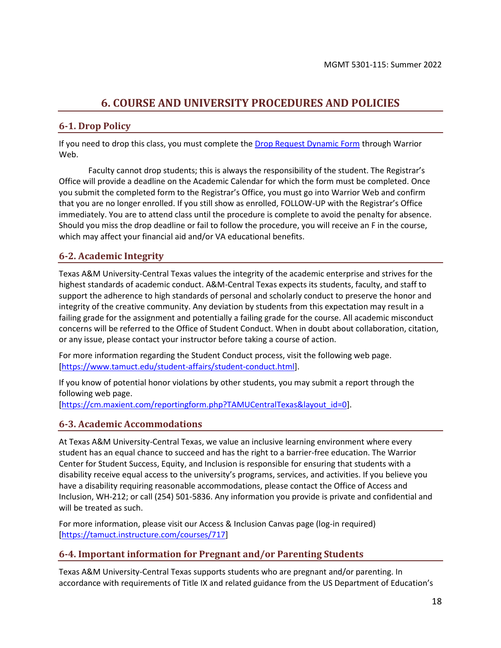# **6. COURSE AND UNIVERSITY PROCEDURES AND POLICIES**

## <span id="page-17-0"></span>**6-1. Drop Policy**

If you need to drop this class, you must complete th[e Drop Request Dynamic Form](https://federation.ngwebsolutions.com/sp/startSSO.ping?PartnerIdpId=https://eis-prod.ec.tamuct.edu:443/samlsso&SpSessionAuthnAdapterId=tamuctDF&TargetResource=https%3a%2f%2fdynamicforms.ngwebsolutions.com%2fSubmit%2fStart%2f53b8369e-0502-4f36-be43-f02a4202f612) through Warrior Web.

Faculty cannot drop students; this is always the responsibility of the student. The Registrar's Office will provide a deadline on the Academic Calendar for which the form must be completed. Once you submit the completed form to the Registrar's Office, you must go into Warrior Web and confirm that you are no longer enrolled. If you still show as enrolled, FOLLOW-UP with the Registrar's Office immediately. You are to attend class until the procedure is complete to avoid the penalty for absence. Should you miss the drop deadline or fail to follow the procedure, you will receive an F in the course, which may affect your financial aid and/or VA educational benefits.

## **6-2. Academic Integrity**

Texas A&M University-Central Texas values the integrity of the academic enterprise and strives for the highest standards of academic conduct. A&M-Central Texas expects its students, faculty, and staff to support the adherence to high standards of personal and scholarly conduct to preserve the honor and integrity of the creative community. Any deviation by students from this expectation may result in a failing grade for the assignment and potentially a failing grade for the course. All academic misconduct concerns will be referred to the Office of Student Conduct. When in doubt about collaboration, citation, or any issue, please contact your instructor before taking a course of action.

For more information regarding the Student Conduct process, visit the following web page. [\[https://www.tamuct.edu/student-affairs/student-conduct.html\]](https://www.tamuct.edu/student-affairs/student-conduct.html).

If you know of potential honor violations by other students, you may submit a report through the following web page.

[\[https://cm.maxient.com/reportingform.php?TAMUCentralTexas&layout\\_id=0\]](https://cm.maxient.com/reportingform.php?TAMUCentralTexas&layout_id=0).

#### **6-3. Academic Accommodations**

At Texas A&M University-Central Texas, we value an inclusive learning environment where every student has an equal chance to succeed and has the right to a barrier-free education. The Warrior Center for Student Success, Equity, and Inclusion is responsible for ensuring that students with a disability receive equal access to the university's programs, services, and activities. If you believe you have a disability requiring reasonable accommodations, please contact the Office of Access and Inclusion, WH-212; or call (254) 501-5836. Any information you provide is private and confidential and will be treated as such.

For more information, please visit our Access & Inclusion Canvas page (log-in required) [\[https://tamuct.instructure.com/courses/717\]](https://tamuct.instructure.com/courses/717)

### **6-4. Important information for Pregnant and/or Parenting Students**

Texas A&M University-Central Texas supports students who are pregnant and/or parenting. In accordance with requirements of Title IX and related guidance from the US Department of Education's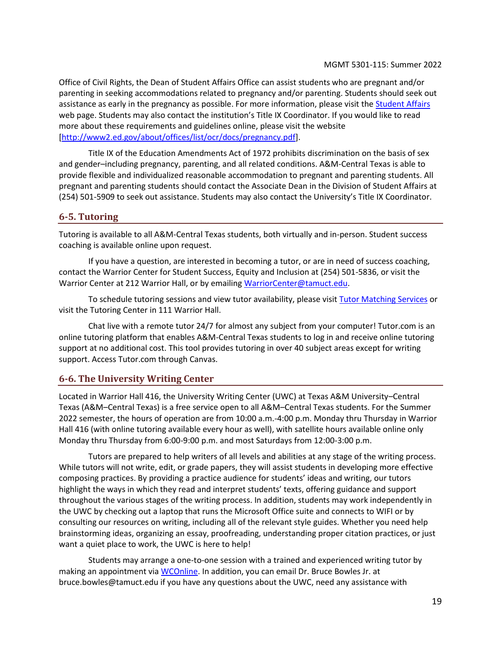Office of Civil Rights, the Dean of Student Affairs Office can assist students who are pregnant and/or parenting in seeking accommodations related to pregnancy and/or parenting. Students should seek out assistance as early in the pregnancy as possible. For more information, please visit the [Student Affairs](https://www.tamuct.edu/student-affairs/index.html) web page. Students may also contact the institution's Title IX Coordinator. If you would like to read more about these requirements and guidelines online, please visit the website [\[http://www2.ed.gov/about/offices/list/ocr/docs/pregnancy.pdf\]](http://www2.ed.gov/about/offices/list/ocr/docs/pregnancy.pdf).

Title IX of the Education Amendments Act of 1972 prohibits discrimination on the basis of sex and gender–including pregnancy, parenting, and all related conditions. A&M-Central Texas is able to provide flexible and individualized reasonable accommodation to pregnant and parenting students. All pregnant and parenting students should contact the Associate Dean in the Division of Student Affairs at (254) 501-5909 to seek out assistance. Students may also contact the University's Title IX Coordinator.

#### **6-5. Tutoring**

Tutoring is available to all A&M-Central Texas students, both virtually and in-person. Student success coaching is available online upon request.

If you have a question, are interested in becoming a tutor, or are in need of success coaching, contact the Warrior Center for Student Success, Equity and Inclusion at (254) 501-5836, or visit the Warrior Center at 212 Warrior Hall, or by emailing [WarriorCenter@tamuct.edu.](mailto:WarriorCenter@tamuct.edu)

To schedule tutoring sessions and view tutor availability, please visi[t Tutor Matching Services](https://tutormatchingservice.com/TAMUCT) or visit the Tutoring Center in 111 Warrior Hall.

Chat live with a remote tutor 24/7 for almost any subject from your computer! Tutor.com is an online tutoring platform that enables A&M-Central Texas students to log in and receive online tutoring support at no additional cost. This tool provides tutoring in over 40 subject areas except for writing support. Access Tutor.com through Canvas.

### **6-6. The University Writing Center**

Located in Warrior Hall 416, the University Writing Center (UWC) at Texas A&M University–Central Texas (A&M–Central Texas) is a free service open to all A&M–Central Texas students. For the Summer 2022 semester, the hours of operation are from 10:00 a.m.-4:00 p.m. Monday thru Thursday in Warrior Hall 416 (with online tutoring available every hour as well), with satellite hours available online only Monday thru Thursday from 6:00-9:00 p.m. and most Saturdays from 12:00-3:00 p.m.

Tutors are prepared to help writers of all levels and abilities at any stage of the writing process. While tutors will not write, edit, or grade papers, they will assist students in developing more effective composing practices. By providing a practice audience for students' ideas and writing, our tutors highlight the ways in which they read and interpret students' texts, offering guidance and support throughout the various stages of the writing process. In addition, students may work independently in the UWC by checking out a laptop that runs the Microsoft Office suite and connects to WIFI or by consulting our resources on writing, including all of the relevant style guides. Whether you need help brainstorming ideas, organizing an essay, proofreading, understanding proper citation practices, or just want a quiet place to work, the UWC is here to help!

Students may arrange a one-to-one session with a trained and experienced writing tutor by making an appointment vi[a WCOnline.](https://tamuct.mywconline.com/) In addition, you can email Dr. Bruce Bowles Jr. at bruce.bowles@tamuct.edu if you have any questions about the UWC, need any assistance with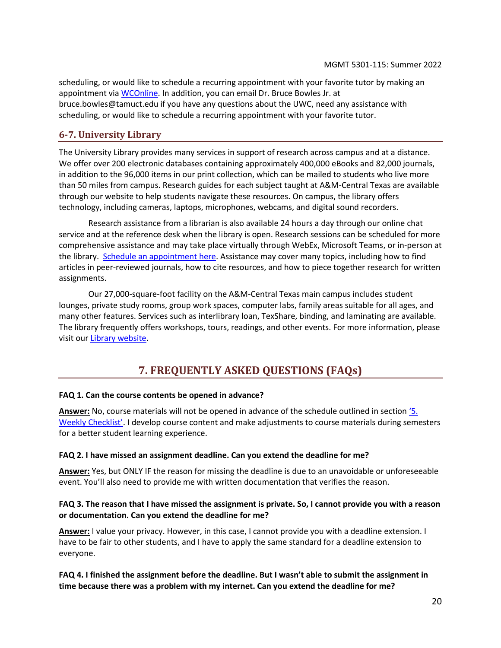scheduling, or would like to schedule a recurring appointment with your favorite tutor by making an appointment via [WCOnline.](https://tamuct.mywconline.com/) In addition, you can email Dr. Bruce Bowles Jr. at bruce.bowles@tamuct.edu if you have any questions about the UWC, need any assistance with scheduling, or would like to schedule a recurring appointment with your favorite tutor.

## **6-7. University Library**

The University Library provides many services in support of research across campus and at a distance. We offer over 200 electronic databases containing approximately 400,000 eBooks and 82,000 journals, in addition to the 96,000 items in our print collection, which can be mailed to students who live more than 50 miles from campus. Research guides for each subject taught at A&M-Central Texas are available through our website to help students navigate these resources. On campus, the library offers technology, including cameras, laptops, microphones, webcams, and digital sound recorders.

Research assistance from a librarian is also available 24 hours a day through our online chat service and at the reference desk when the library is open. Research sessions can be scheduled for more comprehensive assistance and may take place virtually through WebEx, Microsoft Teams, or in-person at the library. [Schedule an appointment here.](https://tamuct.libcal.com/appointments/?g=6956) Assistance may cover many topics, including how to find articles in peer-reviewed journals, how to cite resources, and how to piece together research for written assignments.

Our 27,000-square-foot facility on the A&M-Central Texas main campus includes student lounges, private study rooms, group work spaces, computer labs, family areas suitable for all ages, and many other features. Services such as interlibrary loan, TexShare, binding, and laminating are available. The library frequently offers workshops, tours, readings, and other events. For more information, please visit ou[r Library website.](http://tamuct.libguides.com/index)

# **7. FREQUENTLY ASKED QUESTIONS (FAQs)**

#### <span id="page-19-0"></span>**FAQ 1. Can the course contents be opened in advance?**

**Answer:** No, course materials will not be opened in advance of the schedule outlined in section ['5](#page-8-0). [Weekly Checklist'](#page-8-0). I develop course content and make adjustments to course materials during semesters for a better student learning experience.

#### **FAQ 2. I have missed an assignment deadline. Can you extend the deadline for me?**

**Answer:** Yes, but ONLY IF the reason for missing the deadline is due to an unavoidable or unforeseeable event. You'll also need to provide me with written documentation that verifies the reason.

#### **FAQ 3. The reason that I have missed the assignment is private. So, I cannot provide you with a reason or documentation. Can you extend the deadline for me?**

**Answer:** I value your privacy. However, in this case, I cannot provide you with a deadline extension. I have to be fair to other students, and I have to apply the same standard for a deadline extension to everyone.

#### **FAQ 4. I finished the assignment before the deadline. But I wasn't able to submit the assignment in time because there was a problem with my internet. Can you extend the deadline for me?**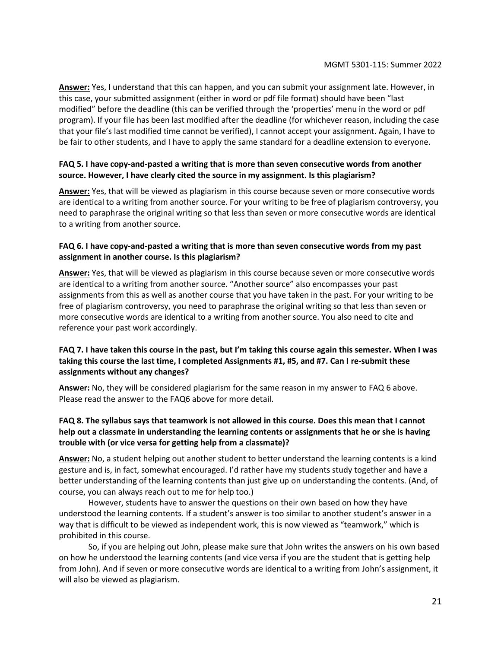**Answer:** Yes, I understand that this can happen, and you can submit your assignment late. However, in this case, your submitted assignment (either in word or pdf file format) should have been "last modified" before the deadline (this can be verified through the 'properties' menu in the word or pdf program). If your file has been last modified after the deadline (for whichever reason, including the case that your file's last modified time cannot be verified), I cannot accept your assignment. Again, I have to be fair to other students, and I have to apply the same standard for a deadline extension to everyone.

#### **FAQ 5. I have copy-and-pasted a writing that is more than seven consecutive words from another source. However, I have clearly cited the source in my assignment. Is this plagiarism?**

**Answer:** Yes, that will be viewed as plagiarism in this course because seven or more consecutive words are identical to a writing from another source. For your writing to be free of plagiarism controversy, you need to paraphrase the original writing so that less than seven or more consecutive words are identical to a writing from another source.

#### **FAQ 6. I have copy-and-pasted a writing that is more than seven consecutive words from my past assignment in another course. Is this plagiarism?**

**Answer:** Yes, that will be viewed as plagiarism in this course because seven or more consecutive words are identical to a writing from another source. "Another source" also encompasses your past assignments from this as well as another course that you have taken in the past. For your writing to be free of plagiarism controversy, you need to paraphrase the original writing so that less than seven or more consecutive words are identical to a writing from another source. You also need to cite and reference your past work accordingly.

#### **FAQ 7. I have taken this course in the past, but I'm taking this course again this semester. When I was taking this course the last time, I completed Assignments #1, #5, and #7. Can I re-submit these assignments without any changes?**

**Answer:** No, they will be considered plagiarism for the same reason in my answer to FAQ 6 above. Please read the answer to the FAQ6 above for more detail.

### **FAQ 8. The syllabus says that teamwork is not allowed in this course. Does this mean that I cannot help out a classmate in understanding the learning contents or assignments that he or she is having trouble with (or vice versa for getting help from a classmate)?**

**Answer:** No, a student helping out another student to better understand the learning contents is a kind gesture and is, in fact, somewhat encouraged. I'd rather have my students study together and have a better understanding of the learning contents than just give up on understanding the contents. (And, of course, you can always reach out to me for help too.)

However, students have to answer the questions on their own based on how they have understood the learning contents. If a student's answer is too similar to another student's answer in a way that is difficult to be viewed as independent work, this is now viewed as "teamwork," which is prohibited in this course.

So, if you are helping out John, please make sure that John writes the answers on his own based on how he understood the learning contents (and vice versa if you are the student that is getting help from John). And if seven or more consecutive words are identical to a writing from John's assignment, it will also be viewed as plagiarism.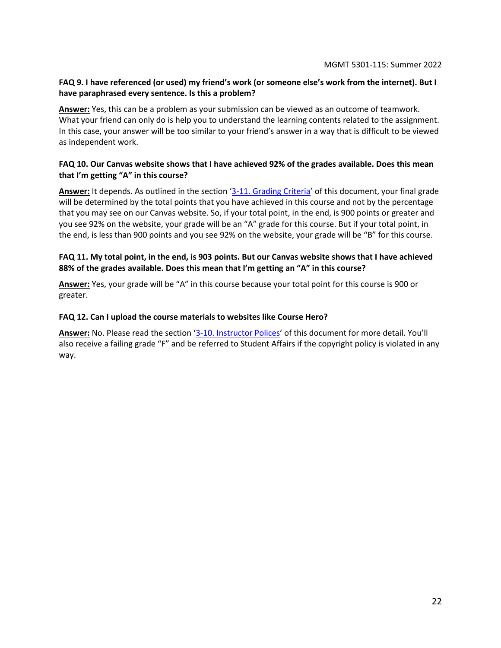#### **FAQ 9. I have referenced (or used) my friend's work (or someone else's work from the internet). But I have paraphrased every sentence. Is this a problem?**

**Answer:** Yes, this can be a problem as your submission can be viewed as an outcome of teamwork. What your friend can only do is help you to understand the learning contents related to the assignment. In this case, your answer will be too similar to your friend's answer in a way that is difficult to be viewed as independent work.

#### **FAQ 10. Our Canvas website shows that I have achieved 92% of the grades available. Does this mean that I'm getting "A" in this course?**

**Answer:** It depends. As outlined in the section '[3-11. Grading Criteria](#page-6-2)' of this document, your final grade will be determined by the total points that you have achieved in this course and not by the percentage that you may see on our Canvas website. So, if your total point, in the end, is 900 points or greater and you see 92% on the website, your grade will be an "A" grade for this course. But if your total point, in the end, is less than 900 points and you see 92% on the website, your grade will be "B" for this course.

#### **FAQ 11. My total point, in the end, is 903 points. But our Canvas website shows that I have achieved 88% of the grades available. Does this mean that I'm getting an "A" in this course?**

**Answer:** Yes, your grade will be "A" in this course because your total point for this course is 900 or greater.

#### **FAQ 12. Can I upload the course materials to websites like Course Hero?**

**Answer:** No. Please read the section '[3-10. Instructor Polices](#page-5-0)' of this document for more detail. You'll also receive a failing grade "F" and be referred to Student Affairs if the copyright policy is violated in any way.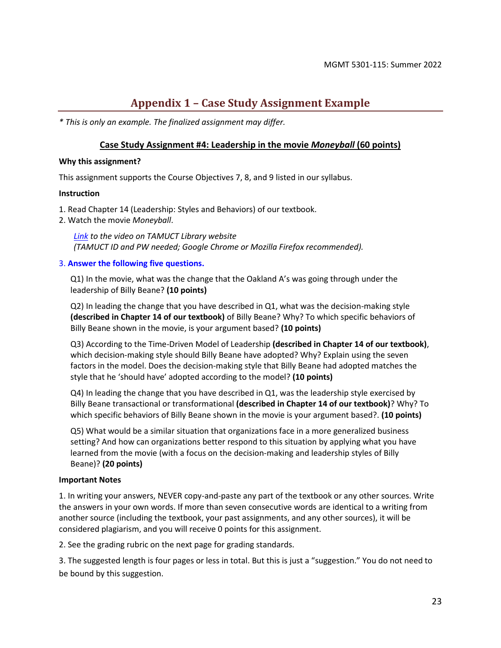# **Appendix 1 – Case Study Assignment Example**

<span id="page-22-0"></span>*\* This is only an example. The finalized assignment may differ.* 

#### **Case Study Assignment #4: Leadership in the movie** *Moneyball* **(60 points)**

#### **Why this assignment?**

This assignment supports the Course Objectives 7, 8, and 9 listed in our syllabus.

#### **Instruction**

- 1. Read Chapter 14 (Leadership: Styles and Behaviors) of our textbook.
- 2. Watch the movie *Moneyball*.

*Link to the video on TAMUCT Library website (TAMUCT ID and PW needed; Google Chrome or Mozilla Firefox recommended).*

#### 3. **Answer the following five questions.**

Q1) In the movie, what was the change that the Oakland A's was going through under the leadership of Billy Beane? **(10 points)**

Q2) In leading the change that you have described in Q1, what was the decision-making style **(described in Chapter 14 of our textbook)** of Billy Beane? Why? To which specific behaviors of Billy Beane shown in the movie, is your argument based? **(10 points)**

Q3) According to the Time-Driven Model of Leadership **(described in Chapter 14 of our textbook)**, which decision-making style should Billy Beane have adopted? Why? Explain using the seven factors in the model. Does the decision-making style that Billy Beane had adopted matches the style that he 'should have' adopted according to the model? **(10 points)**

Q4) In leading the change that you have described in Q1, was the leadership style exercised by Billy Beane transactional or transformational **(described in Chapter 14 of our textbook)**? Why? To which specific behaviors of Billy Beane shown in the movie is your argument based?. **(10 points)**

Q5) What would be a similar situation that organizations face in a more generalized business setting? And how can organizations better respond to this situation by applying what you have learned from the movie (with a focus on the decision-making and leadership styles of Billy Beane)? **(20 points)**

#### **Important Notes**

1. In writing your answers, NEVER copy-and-paste any part of the textbook or any other sources. Write the answers in your own words. If more than seven consecutive words are identical to a writing from another source (including the textbook, your past assignments, and any other sources), it will be considered plagiarism, and you will receive 0 points for this assignment.

2. See the grading rubric on the next page for grading standards.

3. The suggested length is four pages or less in total. But this is just a "suggestion." You do not need to be bound by this suggestion.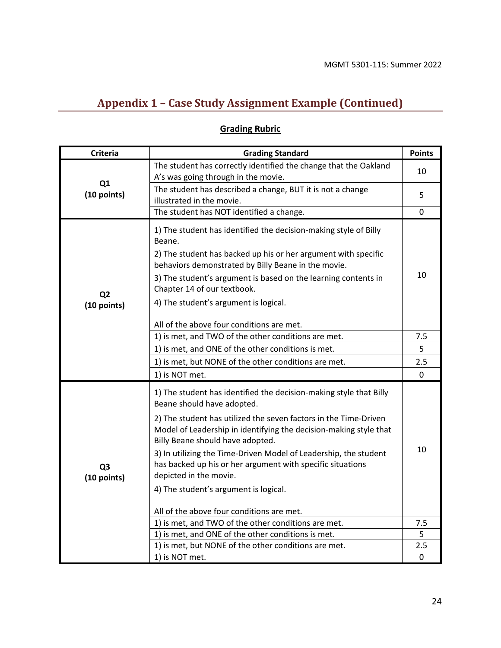# **Appendix 1 – Case Study Assignment Example (Continued)**

| <b>Criteria</b><br><b>Grading Standard</b>                                                                                                                                                                                                                                                                                                                                                                                                                                                                                                                       | <b>Points</b> |
|------------------------------------------------------------------------------------------------------------------------------------------------------------------------------------------------------------------------------------------------------------------------------------------------------------------------------------------------------------------------------------------------------------------------------------------------------------------------------------------------------------------------------------------------------------------|---------------|
| The student has correctly identified the change that the Oakland<br>A's was going through in the movie.                                                                                                                                                                                                                                                                                                                                                                                                                                                          | 10            |
| Q1<br>The student has described a change, BUT it is not a change<br>(10 points)<br>illustrated in the movie.                                                                                                                                                                                                                                                                                                                                                                                                                                                     | 5             |
| The student has NOT identified a change.                                                                                                                                                                                                                                                                                                                                                                                                                                                                                                                         | 0             |
| 1) The student has identified the decision-making style of Billy<br>Beane.<br>2) The student has backed up his or her argument with specific<br>behaviors demonstrated by Billy Beane in the movie.<br>3) The student's argument is based on the learning contents in<br>Chapter 14 of our textbook.<br>Q <sub>2</sub><br>4) The student's argument is logical.<br>(10 points)<br>All of the above four conditions are met.                                                                                                                                      | 10            |
| 1) is met, and TWO of the other conditions are met.                                                                                                                                                                                                                                                                                                                                                                                                                                                                                                              | 7.5           |
| 1) is met, and ONE of the other conditions is met.                                                                                                                                                                                                                                                                                                                                                                                                                                                                                                               | 5             |
| 1) is met, but NONE of the other conditions are met.                                                                                                                                                                                                                                                                                                                                                                                                                                                                                                             | 2.5           |
| 1) is NOT met.                                                                                                                                                                                                                                                                                                                                                                                                                                                                                                                                                   | 0             |
| 1) The student has identified the decision-making style that Billy<br>Beane should have adopted.<br>2) The student has utilized the seven factors in the Time-Driven<br>Model of Leadership in identifying the decision-making style that<br>Billy Beane should have adopted.<br>3) In utilizing the Time-Driven Model of Leadership, the student<br>has backed up his or her argument with specific situations<br>Q <sub>3</sub><br>depicted in the movie.<br>(10 points)<br>4) The student's argument is logical.<br>All of the above four conditions are met. | 10            |
| 1) is met, and TWO of the other conditions are met.                                                                                                                                                                                                                                                                                                                                                                                                                                                                                                              | 7.5           |
| 1) is met, and ONE of the other conditions is met.                                                                                                                                                                                                                                                                                                                                                                                                                                                                                                               | 5<br>2.5      |
| 1) is met, but NONE of the other conditions are met.                                                                                                                                                                                                                                                                                                                                                                                                                                                                                                             |               |

# **Grading Rubric**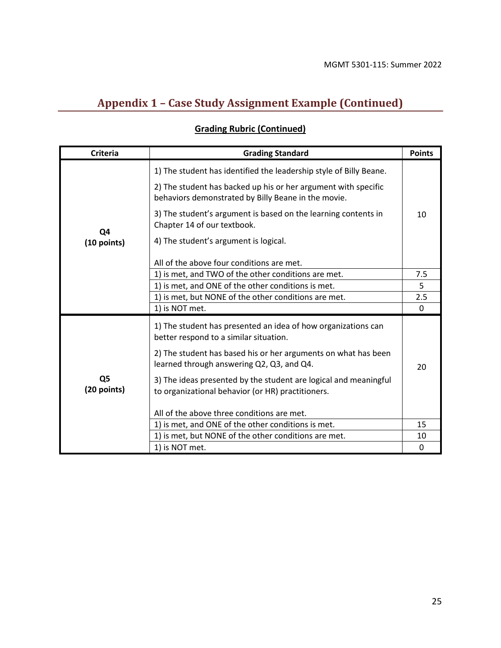# **Appendix 1 – Case Study Assignment Example (Continued)**

# **Grading Rubric (Continued)**

| <b>Criteria</b>               | <b>Grading Standard</b>                                                                                               | <b>Points</b> |
|-------------------------------|-----------------------------------------------------------------------------------------------------------------------|---------------|
| Q4<br>(10 points)             | 1) The student has identified the leadership style of Billy Beane.                                                    |               |
|                               | 2) The student has backed up his or her argument with specific<br>behaviors demonstrated by Billy Beane in the movie. |               |
|                               | 3) The student's argument is based on the learning contents in<br>Chapter 14 of our textbook.                         | 10            |
|                               | 4) The student's argument is logical.                                                                                 |               |
|                               | All of the above four conditions are met.                                                                             |               |
|                               | 1) is met, and TWO of the other conditions are met.                                                                   | 7.5           |
|                               | 1) is met, and ONE of the other conditions is met.                                                                    | 5             |
|                               | 1) is met, but NONE of the other conditions are met.                                                                  | 2.5           |
|                               | 1) is NOT met.                                                                                                        | 0             |
| Q <sub>5</sub><br>(20 points) | 1) The student has presented an idea of how organizations can<br>better respond to a similar situation.               |               |
|                               | 2) The student has based his or her arguments on what has been<br>learned through answering Q2, Q3, and Q4.           | 20            |
|                               | 3) The ideas presented by the student are logical and meaningful<br>to organizational behavior (or HR) practitioners. |               |
|                               | All of the above three conditions are met.                                                                            |               |
|                               | 1) is met, and ONE of the other conditions is met.                                                                    | 15            |
|                               | 1) is met, but NONE of the other conditions are met.                                                                  | 10            |
|                               | 1) is NOT met.                                                                                                        | 0             |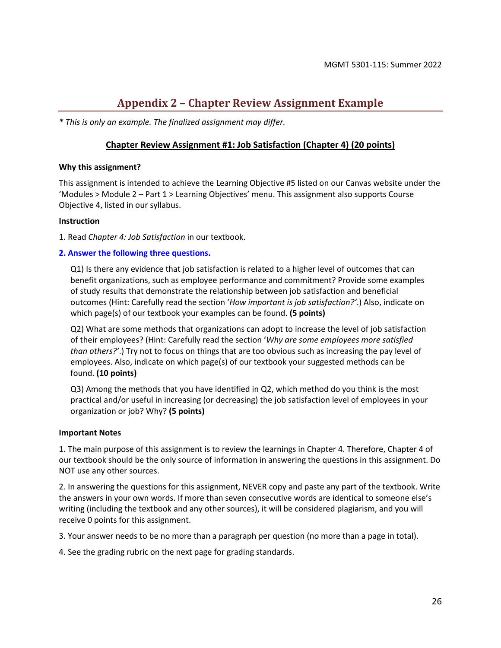# **Appendix 2 – Chapter Review Assignment Example**

<span id="page-25-0"></span>*\* This is only an example. The finalized assignment may differ.* 

#### **Chapter Review Assignment #1: Job Satisfaction (Chapter 4) (20 points)**

#### **Why this assignment?**

This assignment is intended to achieve the Learning Objective #5 listed on our Canvas website under the 'Modules > Module 2 – Part 1 > Learning Objectives' menu. This assignment also supports Course Objective 4, listed in our syllabus.

#### **Instruction**

1. Read *Chapter 4: Job Satisfaction* in our textbook.

#### **2. Answer the following three questions.**

Q1) Is there any evidence that job satisfaction is related to a higher level of outcomes that can benefit organizations, such as employee performance and commitment? Provide some examples of study results that demonstrate the relationship between job satisfaction and beneficial outcomes (Hint: Carefully read the section '*How important is job satisfaction?'*.) Also, indicate on which page(s) of our textbook your examples can be found. **(5 points)**

Q2) What are some methods that organizations can adopt to increase the level of job satisfaction of their employees? (Hint: Carefully read the section '*Why are some employees more satisfied than others?'*.) Try not to focus on things that are too obvious such as increasing the pay level of employees. Also, indicate on which page(s) of our textbook your suggested methods can be found. **(10 points)**

Q3) Among the methods that you have identified in Q2, which method do you think is the most practical and/or useful in increasing (or decreasing) the job satisfaction level of employees in your organization or job? Why? **(5 points)**

#### **Important Notes**

1. The main purpose of this assignment is to review the learnings in Chapter 4. Therefore, Chapter 4 of our textbook should be the only source of information in answering the questions in this assignment. Do NOT use any other sources.

2. In answering the questions for this assignment, NEVER copy and paste any part of the textbook. Write the answers in your own words. If more than seven consecutive words are identical to someone else's writing (including the textbook and any other sources), it will be considered plagiarism, and you will receive 0 points for this assignment.

3. Your answer needs to be no more than a paragraph per question (no more than a page in total).

4. See the grading rubric on the next page for grading standards.